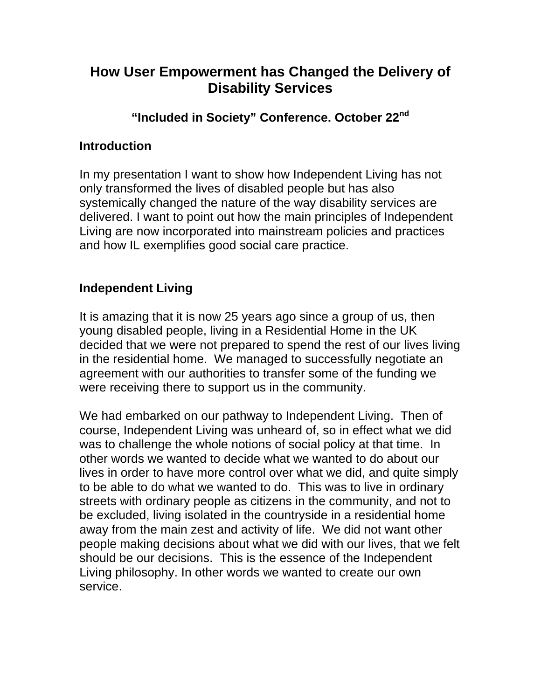# **How User Empowerment has Changed the Delivery of Disability Services**

### **"Included in Society" Conference. October 22nd**

#### **Introduction**

In my presentation I want to show how Independent Living has not only transformed the lives of disabled people but has also systemically changed the nature of the way disability services are delivered. I want to point out how the main principles of Independent Living are now incorporated into mainstream policies and practices and how IL exemplifies good social care practice.

### **Independent Living**

It is amazing that it is now 25 years ago since a group of us, then young disabled people, living in a Residential Home in the UK decided that we were not prepared to spend the rest of our lives living in the residential home. We managed to successfully negotiate an agreement with our authorities to transfer some of the funding we were receiving there to support us in the community.

We had embarked on our pathway to Independent Living. Then of course, Independent Living was unheard of, so in effect what we did was to challenge the whole notions of social policy at that time. In other words we wanted to decide what we wanted to do about our lives in order to have more control over what we did, and quite simply to be able to do what we wanted to do. This was to live in ordinary streets with ordinary people as citizens in the community, and not to be excluded, living isolated in the countryside in a residential home away from the main zest and activity of life. We did not want other people making decisions about what we did with our lives, that we felt should be our decisions. This is the essence of the Independent Living philosophy. In other words we wanted to create our own service.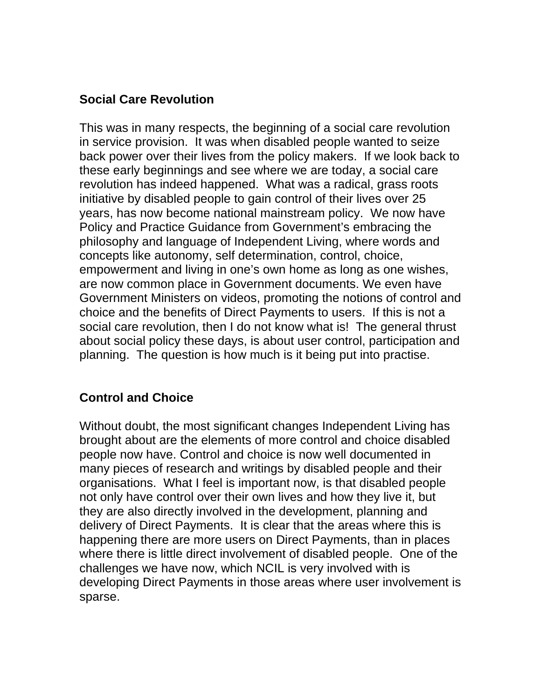# **Social Care Revolution**

This was in many respects, the beginning of a social care revolution in service provision. It was when disabled people wanted to seize back power over their lives from the policy makers. If we look back to these early beginnings and see where we are today, a social care revolution has indeed happened. What was a radical, grass roots initiative by disabled people to gain control of their lives over 25 years, has now become national mainstream policy. We now have Policy and Practice Guidance from Government's embracing the philosophy and language of Independent Living, where words and concepts like autonomy, self determination, control, choice, empowerment and living in one's own home as long as one wishes, are now common place in Government documents. We even have Government Ministers on videos, promoting the notions of control and choice and the benefits of Direct Payments to users. If this is not a social care revolution, then I do not know what is! The general thrust about social policy these days, is about user control, participation and planning. The question is how much is it being put into practise.

# **Control and Choice**

Without doubt, the most significant changes Independent Living has brought about are the elements of more control and choice disabled people now have. Control and choice is now well documented in many pieces of research and writings by disabled people and their organisations. What I feel is important now, is that disabled people not only have control over their own lives and how they live it, but they are also directly involved in the development, planning and delivery of Direct Payments. It is clear that the areas where this is happening there are more users on Direct Payments, than in places where there is little direct involvement of disabled people. One of the challenges we have now, which NCIL is very involved with is developing Direct Payments in those areas where user involvement is sparse.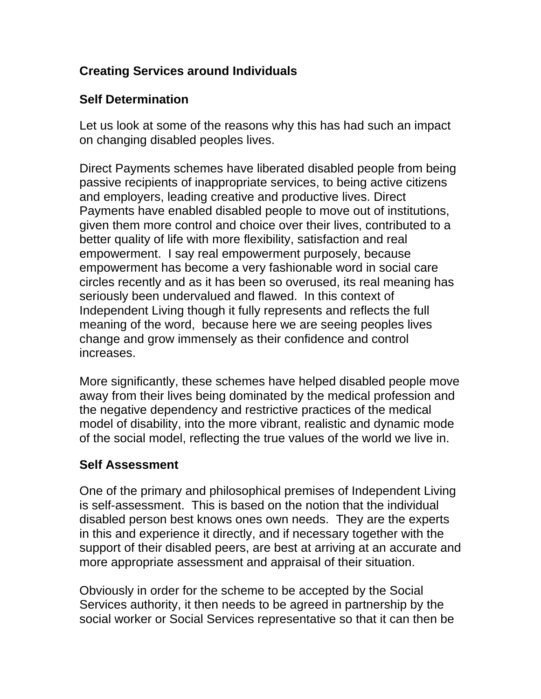# **Creating Services around Individuals**

### **Self Determination**

Let us look at some of the reasons why this has had such an impact on changing disabled peoples lives.

Direct Payments schemes have liberated disabled people from being passive recipients of inappropriate services, to being active citizens and employers, leading creative and productive lives. Direct Payments have enabled disabled people to move out of institutions, given them more control and choice over their lives, contributed to a better quality of life with more flexibility, satisfaction and real empowerment. I say real empowerment purposely, because empowerment has become a very fashionable word in social care circles recently and as it has been so overused, its real meaning has seriously been undervalued and flawed. In this context of Independent Living though it fully represents and reflects the full meaning of the word, because here we are seeing peoples lives change and grow immensely as their confidence and control increases.

More significantly, these schemes have helped disabled people move away from their lives being dominated by the medical profession and the negative dependency and restrictive practices of the medical model of disability, into the more vibrant, realistic and dynamic mode of the social model, reflecting the true values of the world we live in.

### **Self Assessment**

One of the primary and philosophical premises of Independent Living is self-assessment. This is based on the notion that the individual disabled person best knows ones own needs. They are the experts in this and experience it directly, and if necessary together with the support of their disabled peers, are best at arriving at an accurate and more appropriate assessment and appraisal of their situation.

Obviously in order for the scheme to be accepted by the Social Services authority, it then needs to be agreed in partnership by the social worker or Social Services representative so that it can then be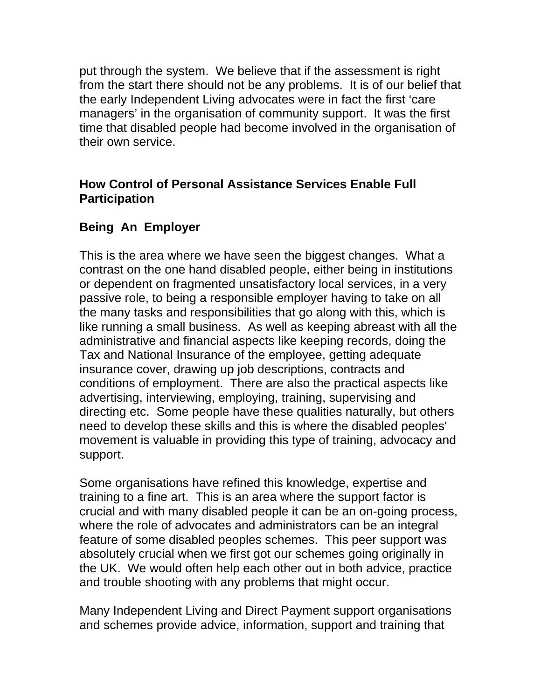put through the system. We believe that if the assessment is right from the start there should not be any problems. It is of our belief that the early Independent Living advocates were in fact the first 'care managers' in the organisation of community support. It was the first time that disabled people had become involved in the organisation of their own service.

### **How Control of Personal Assistance Services Enable Full Participation**

# **Being An Employer**

This is the area where we have seen the biggest changes. What a contrast on the one hand disabled people, either being in institutions or dependent on fragmented unsatisfactory local services, in a very passive role, to being a responsible employer having to take on all the many tasks and responsibilities that go along with this, which is like running a small business. As well as keeping abreast with all the administrative and financial aspects like keeping records, doing the Tax and National Insurance of the employee, getting adequate insurance cover, drawing up job descriptions, contracts and conditions of employment. There are also the practical aspects like advertising, interviewing, employing, training, supervising and directing etc. Some people have these qualities naturally, but others need to develop these skills and this is where the disabled peoples' movement is valuable in providing this type of training, advocacy and support.

Some organisations have refined this knowledge, expertise and training to a fine art. This is an area where the support factor is crucial and with many disabled people it can be an on-going process, where the role of advocates and administrators can be an integral feature of some disabled peoples schemes. This peer support was absolutely crucial when we first got our schemes going originally in the UK. We would often help each other out in both advice, practice and trouble shooting with any problems that might occur.

Many Independent Living and Direct Payment support organisations and schemes provide advice, information, support and training that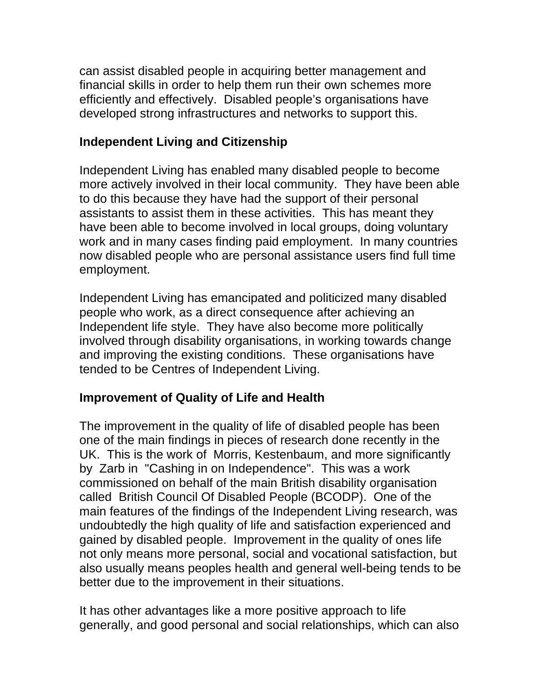can assist disabled people in acquiring better management and financial skills in order to help them run their own schemes more efficiently and effectively. Disabled people's organisations have developed strong infrastructures and networks to support this.

### **Independent Living and Citizenship**

Independent Living has enabled many disabled people to become more actively involved in their local community. They have been able to do this because they have had the support of their personal assistants to assist them in these activities. This has meant they have been able to become involved in local groups, doing voluntary work and in many cases finding paid employment. In many countries now disabled people who are personal assistance users find full time employment.

Independent Living has emancipated and politicized many disabled people who work, as a direct consequence after achieving an Independent life style. They have also become more politically involved through disability organisations, in working towards change and improving the existing conditions. These organisations have tended to be Centres of Independent Living.

### **Improvement of Quality of Life and Health**

The improvement in the quality of life of disabled people has been one of the main findings in pieces of research done recently in the UK. This is the work of Morris, Kestenbaum, and more significantly by Zarb in "Cashing in on Independence". This was a work commissioned on behalf of the main British disability organisation called British Council Of Disabled People (BCODP). One of the main features of the findings of the Independent Living research, was undoubtedly the high quality of life and satisfaction experienced and gained by disabled people. Improvement in the quality of ones life not only means more personal, social and vocational satisfaction, but also usually means peoples health and general well-being tends to be better due to the improvement in their situations.

It has other advantages like a more positive approach to life generally, and good personal and social relationships, which can also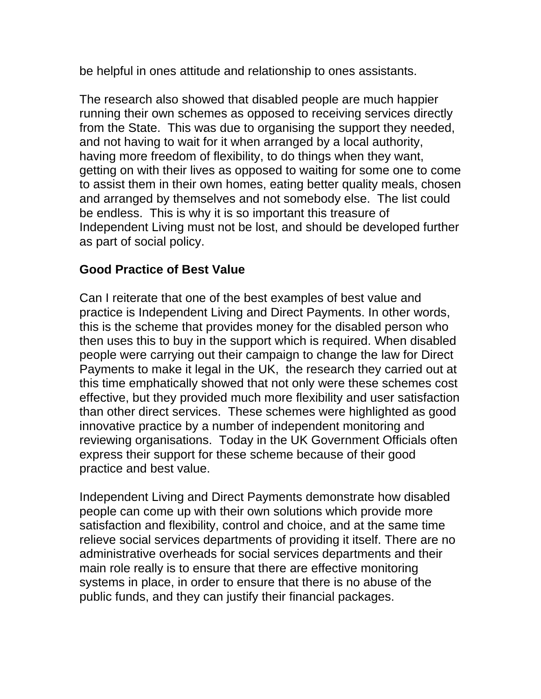be helpful in ones attitude and relationship to ones assistants.

The research also showed that disabled people are much happier running their own schemes as opposed to receiving services directly from the State. This was due to organising the support they needed, and not having to wait for it when arranged by a local authority, having more freedom of flexibility, to do things when they want, getting on with their lives as opposed to waiting for some one to come to assist them in their own homes, eating better quality meals, chosen and arranged by themselves and not somebody else. The list could be endless. This is why it is so important this treasure of Independent Living must not be lost, and should be developed further as part of social policy.

#### **Good Practice of Best Value**

Can I reiterate that one of the best examples of best value and practice is Independent Living and Direct Payments. In other words, this is the scheme that provides money for the disabled person who then uses this to buy in the support which is required. When disabled people were carrying out their campaign to change the law for Direct Payments to make it legal in the UK, the research they carried out at this time emphatically showed that not only were these schemes cost effective, but they provided much more flexibility and user satisfaction than other direct services. These schemes were highlighted as good innovative practice by a number of independent monitoring and reviewing organisations. Today in the UK Government Officials often express their support for these scheme because of their good practice and best value.

Independent Living and Direct Payments demonstrate how disabled people can come up with their own solutions which provide more satisfaction and flexibility, control and choice, and at the same time relieve social services departments of providing it itself. There are no administrative overheads for social services departments and their main role really is to ensure that there are effective monitoring systems in place, in order to ensure that there is no abuse of the public funds, and they can justify their financial packages.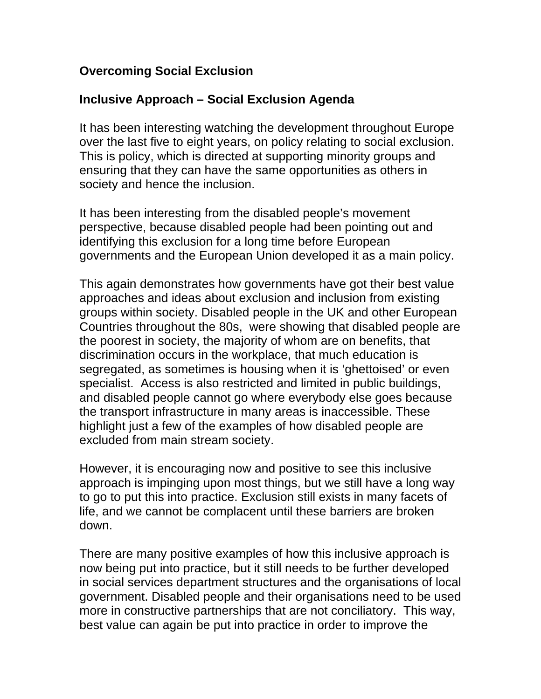#### **Overcoming Social Exclusion**

#### **Inclusive Approach – Social Exclusion Agenda**

It has been interesting watching the development throughout Europe over the last five to eight years, on policy relating to social exclusion. This is policy, which is directed at supporting minority groups and ensuring that they can have the same opportunities as others in society and hence the inclusion.

It has been interesting from the disabled people's movement perspective, because disabled people had been pointing out and identifying this exclusion for a long time before European governments and the European Union developed it as a main policy.

This again demonstrates how governments have got their best value approaches and ideas about exclusion and inclusion from existing groups within society. Disabled people in the UK and other European Countries throughout the 80s, were showing that disabled people are the poorest in society, the majority of whom are on benefits, that discrimination occurs in the workplace, that much education is segregated, as sometimes is housing when it is 'ghettoised' or even specialist. Access is also restricted and limited in public buildings, and disabled people cannot go where everybody else goes because the transport infrastructure in many areas is inaccessible. These highlight just a few of the examples of how disabled people are excluded from main stream society.

However, it is encouraging now and positive to see this inclusive approach is impinging upon most things, but we still have a long way to go to put this into practice. Exclusion still exists in many facets of life, and we cannot be complacent until these barriers are broken down.

There are many positive examples of how this inclusive approach is now being put into practice, but it still needs to be further developed in social services department structures and the organisations of local government. Disabled people and their organisations need to be used more in constructive partnerships that are not conciliatory. This way, best value can again be put into practice in order to improve the